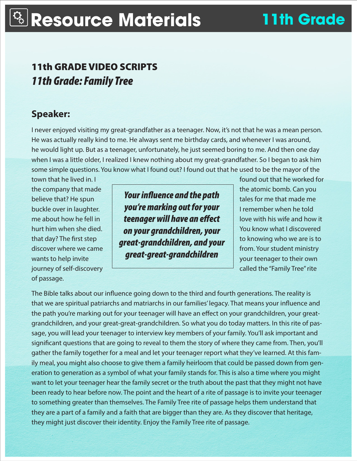## 11th GRADE VIDEO SCRIPTS *11th Grade: Family Tree*

### **Speaker:**

I never enjoyed visiting my great-grandfather as a teenager. Now, it's not that he was a mean person. He was actually really kind to me. He always sent me birthday cards, and whenever I was around, he would light up. But as a teenager, unfortunately, he just seemed boring to me. And then one day when I was a little older, I realized I knew nothing about my great-grandfather. So I began to ask him some simple questions. You know what I found out? I found out that he used to be the mayor of the

journey of self-discovery called the "Family Tree" rite of passage.

believe that? He spun **that is a set of the set of the spun tales** for me that made me buckle over in laughter. **In the** *you're marking out for your* I remember when he told me about how he fell in **teenager will have an effect** love with his wife and how it hurt him when she died. **On your grandchildren, your** You know what I discovered that day? The first step  $\left| \right|$  and  $\left| \right|$  and  $\left| \right|$  to knowing who we are is to discover where we came from. Your student ministry wants to help invite **your teat-grand interest in the view of the set of the view of the view of the view of the view of the view of the view of the view of the view of the view of the view of the view of the view of the v** *Your influence and the path great-grandchildren, and your great-great-grandchildren*

town that he lived in. I found out that he worked for the company that made the atomic bomb. Can you

The Bible talks about our influence going down to the third and fourth generations. The reality is that we are spiritual patriarchs and matriarchs in our families' legacy. That means your influence and the path you're marking out for your teenager will have an effect on your grandchildren, your greatgrandchildren, and your great-great-grandchildren. So what you do today matters. In this rite of passage, you will lead your teenager to interview key members of your family. You'll ask important and significant questions that are going to reveal to them the story of where they came from. Then, you'll gather the family together for a meal and let your teenager report what they've learned. At this family meal, you might also choose to give them a family heirloom that could be passed down from generation to generation as a symbol of what your family stands for. This is also a time where you might want to let your teenager hear the family secret or the truth about the past that they might not have been ready to hear before now. The point and the heart of a rite of passage is to invite your teenager to something greater than themselves. The Family Tree rite of passage helps them understand that they are a part of a family and a faith that are bigger than they are. As they discover that heritage, they might just discover their identity. Enjoy the Family Tree rite of passage.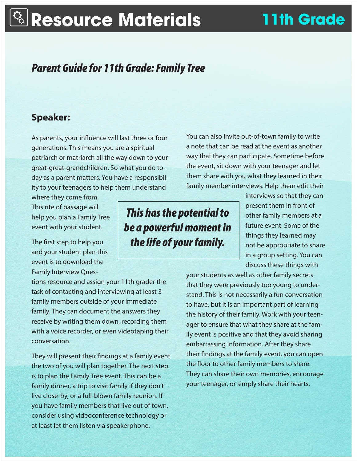# **Resource Materials 11th Grade**

## *Parent Guide for 11th Grade: Family Tree*

#### **Speaker:**

As parents, your influence will last three or four generations. This means you are a spiritual patriarch or matriarch all the way down to your great-great-grandchildren. So what you do today as a parent matters. You have a responsibility to your teenagers to help them understand

where they come from. This rite of passage will help you plan a Family Tree event with your student.

The first step to help you and your student plan this event is to download the Family Interview Ques-

tions resource and assign your 11th grader the task of contacting and interviewing at least 3 family members outside of your immediate family. They can document the answers they receive by writing them down, recording them with a voice recorder, or even videotaping their conversation.

They will present their findings at a family event the two of you will plan together. The next step is to plan the Family Tree event. This can be a family dinner, a trip to visit family if they don't live close-by, or a full-blown family reunion. If you have family members that live out of town, consider using videoconference technology or at least let them listen via speakerphone.

*This has the potential to be a powerful moment in the life of your family.* 

You can also invite out-of-town family to write a note that can be read at the event as another way that they can participate. Sometime before the event, sit down with your teenager and let them share with you what they learned in their family member interviews. Help them edit their

> interviews so that they can present them in front of other family members at a future event. Some of the things they learned may not be appropriate to share in a group setting. You can discuss these things with

your students as well as other family secrets that they were previously too young to understand. This is not necessarily a fun conversation to have, but it is an important part of learning the history of their family. Work with your teenager to ensure that what they share at the family event is positive and that they avoid sharing embarrassing information. After they share their findings at the family event, you can open the floor to other family members to share. They can share their own memories, encourage your teenager, or simply share their hearts.